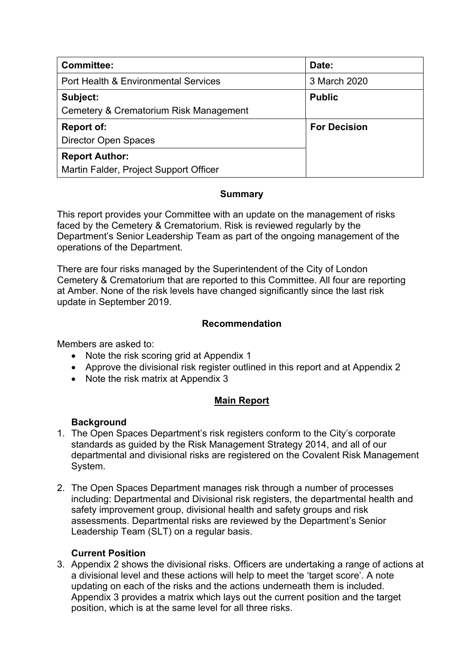| <b>Committee:</b>                                  | Date:               |
|----------------------------------------------------|---------------------|
| Port Health & Environmental Services               | 3 March 2020        |
| Subject:<br>Cemetery & Crematorium Risk Management | <b>Public</b>       |
| <b>Report of:</b>                                  | <b>For Decision</b> |
| <b>Director Open Spaces</b>                        |                     |
| <b>Report Author:</b>                              |                     |
| Martin Falder, Project Support Officer             |                     |

# **Summary**

This report provides your Committee with an update on the management of risks faced by the Cemetery & Crematorium. Risk is reviewed regularly by the Department's Senior Leadership Team as part of the ongoing management of the operations of the Department.

There are four risks managed by the Superintendent of the City of London Cemetery & Crematorium that are reported to this Committee. All four are reporting at Amber. None of the risk levels have changed significantly since the last risk update in September 2019.

## **Recommendation**

Members are asked to:

- Note the risk scoring grid at Appendix 1
- Approve the divisional risk register outlined in this report and at Appendix 2
- Note the risk matrix at Appendix 3

## **Main Report**

## **Background**

- 1. The Open Spaces Department's risk registers conform to the City's corporate standards as guided by the Risk Management Strategy 2014, and all of our departmental and divisional risks are registered on the Covalent Risk Management System.
- 2. The Open Spaces Department manages risk through a number of processes including: Departmental and Divisional risk registers, the departmental health and safety improvement group, divisional health and safety groups and risk assessments. Departmental risks are reviewed by the Department's Senior Leadership Team (SLT) on a regular basis.

## **Current Position**

3. Appendix 2 shows the divisional risks. Officers are undertaking a range of actions at a divisional level and these actions will help to meet the 'target score'. A note updating on each of the risks and the actions underneath them is included. Appendix 3 provides a matrix which lays out the current position and the target position, which is at the same level for all three risks.